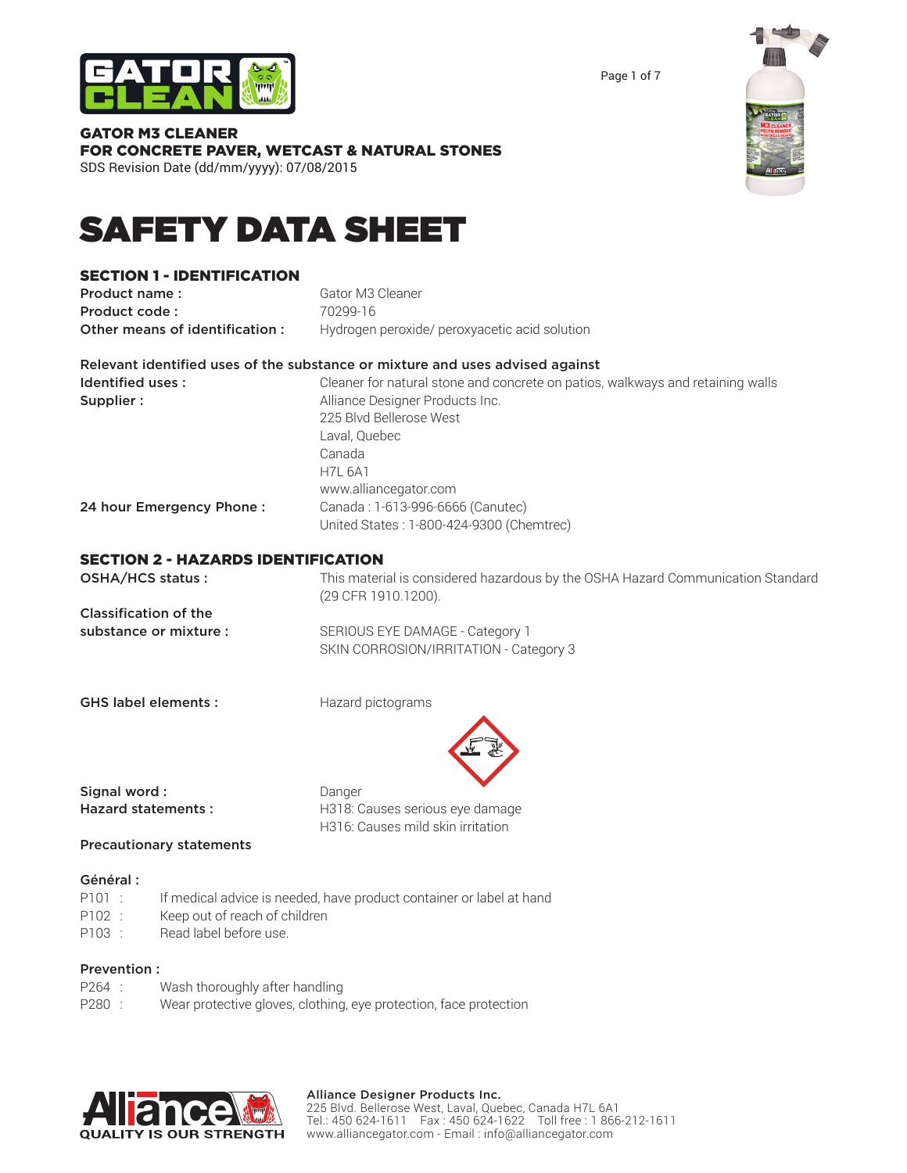#### Page 1 of 7

| <b>GATOR M3 CLEANER</b>                                 |
|---------------------------------------------------------|
| <b>FOR CONCRETE PAVER, WETCAST &amp; NATURAL STONES</b> |
| SDS Revision Date (dd/mm/yyyy): 07/08/2015              |

# SAFETY DATA SHEET

## SECTION 1 - IDENTIFICATION

**Product name:** Gator M3 Cleaner **Product code : 70299-16** Other means of identification : Hydrogen peroxide/ peroxyacetic acid solution

#### Relevant identified uses of the substance or mixture and uses advised against

| Identified uses:         | Cleaner for natural stone and concrete on patios, walkways and retaining walls |
|--------------------------|--------------------------------------------------------------------------------|
| Supplier:                | Alliance Designer Products Inc.                                                |
|                          | 225 Blvd Bellerose West                                                        |
|                          | Laval, Quebec                                                                  |
|                          | Canada                                                                         |
|                          | <b>H7L 6A1</b>                                                                 |
|                          | www.alliancegator.com                                                          |
| 24 hour Emergency Phone: | Canada: 1-613-996-6666 (Canutec)                                               |
|                          | United States: 1-800-424-9300 (Chemtrec)                                       |
|                          |                                                                                |

### SECTION 2 - HAZARDS IDENTIFICATION

| OSHA/HCS status :            | This material is considered hazardous by the OSHA Hazard Communication Standard<br>(29 CFR 1910.1200). |
|------------------------------|--------------------------------------------------------------------------------------------------------|
| <b>Classification of the</b> |                                                                                                        |
| substance or mixture :       | SERIOUS EYE DAMAGE - Category 1<br>SKIN CORROSION/IRRITATION - Category 3                              |

GHS label elements : Hazard pictograms



Hazard statements : H318: Causes serious eye damage H316: Causes mild skin irritation

#### Precautionary statements

#### Général :

- P101 : If medical advice is needed, have product container or label at hand
- P102 : Keep out of reach of children
- P103 : Read label before use.

#### Prevention :

- P264 : Wash thoroughly after handling
- P280 : Wear protective gloves, clothing, eye protection, face protection





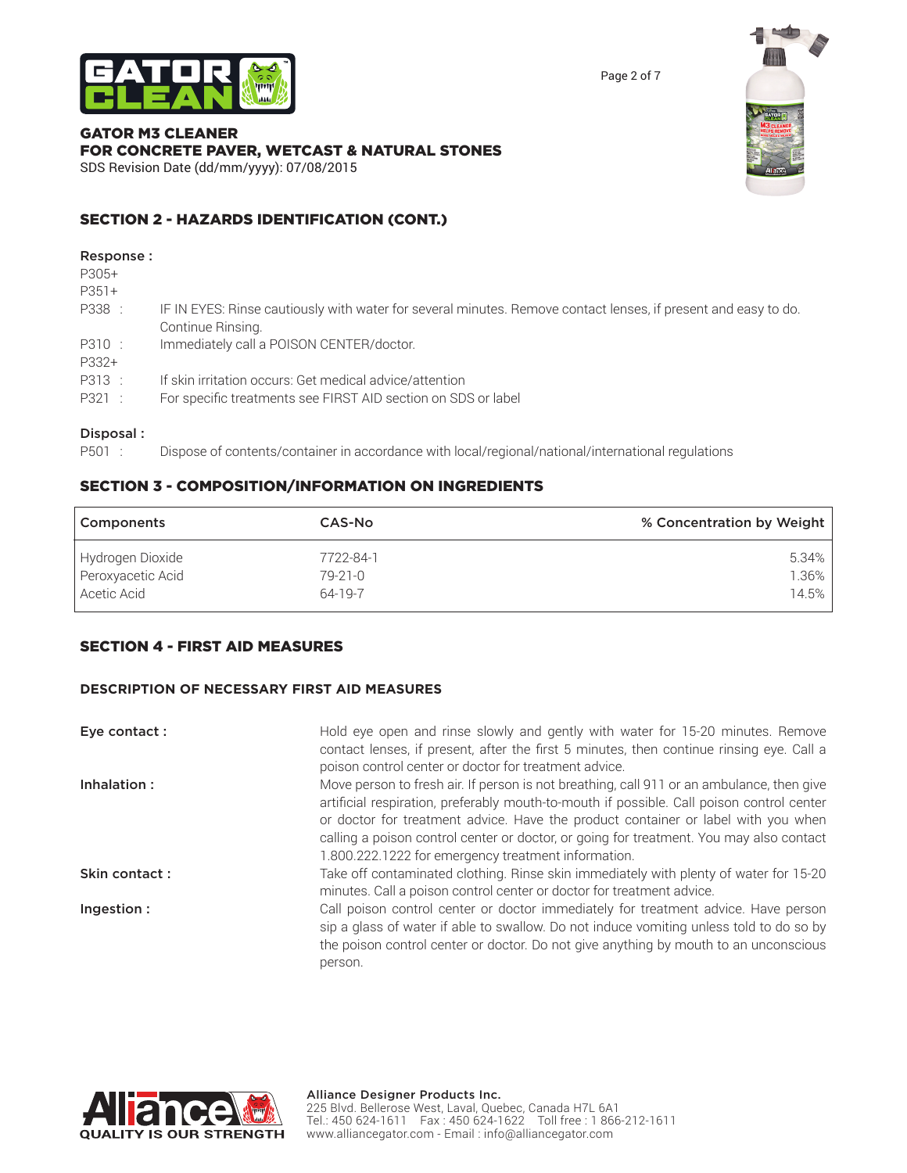



#### GATOR M3 CLEANER FOR CONCRETE PAVER, WETCAST & NATURAL STONES SDS Revision Date (dd/mm/yyyy): 07/08/2015

SECTION 2 - HAZARDS IDENTIFICATION (CONT.)

#### Response :

P305+

- P351+
- P338 : IF IN EYES: Rinse cautiously with water for several minutes. Remove contact lenses, if present and easy to do. Continue Rinsing.
- P310 : Immediately call a POISON CENTER/doctor.
- P332+
- P313 : If skin irritation occurs: Get medical advice/attention
- P321 : For specific treatments see FIRST AID section on SDS or label

## Disposal :

P501 : Dispose of contents/container in accordance with local/regional/national/international regulations

# SECTION 3 - COMPOSITION/INFORMATION ON INGREDIENTS

| Components        | <b>CAS-No</b> | % Concentration by Weight |
|-------------------|---------------|---------------------------|
| Hydrogen Dioxide  | 7722-84-1     | $5.34\%$                  |
| Peroxyacetic Acid | $79 - 21 - 0$ | $1.36\%$                  |
| Acetic Acid       | 64-19-7       | 14.5%                     |

## SECTION 4 - FIRST AID MEASURES

## **DESCRIPTION OF NECESSARY FIRST AID MEASURES**

| Eye contact : | Hold eye open and rinse slowly and gently with water for 15-20 minutes. Remove<br>contact lenses, if present, after the first 5 minutes, then continue rinsing eye. Call a<br>poison control center or doctor for treatment advice.                                                                                                                                                                                           |
|---------------|-------------------------------------------------------------------------------------------------------------------------------------------------------------------------------------------------------------------------------------------------------------------------------------------------------------------------------------------------------------------------------------------------------------------------------|
| Inhalation:   | Move person to fresh air. If person is not breathing, call 911 or an ambulance, then give<br>artificial respiration, preferably mouth-to-mouth if possible. Call poison control center<br>or doctor for treatment advice. Have the product container or label with you when<br>calling a poison control center or doctor, or going for treatment. You may also contact<br>1.800.222.1222 for emergency treatment information. |
| Skin contact: | Take off contaminated clothing. Rinse skin immediately with plenty of water for 15-20<br>minutes. Call a poison control center or doctor for treatment advice.                                                                                                                                                                                                                                                                |
| Ingestion:    | Call poison control center or doctor immediately for treatment advice. Have person<br>sip a glass of water if able to swallow. Do not induce vomiting unless told to do so by<br>the poison control center or doctor. Do not give anything by mouth to an unconscious<br>person.                                                                                                                                              |

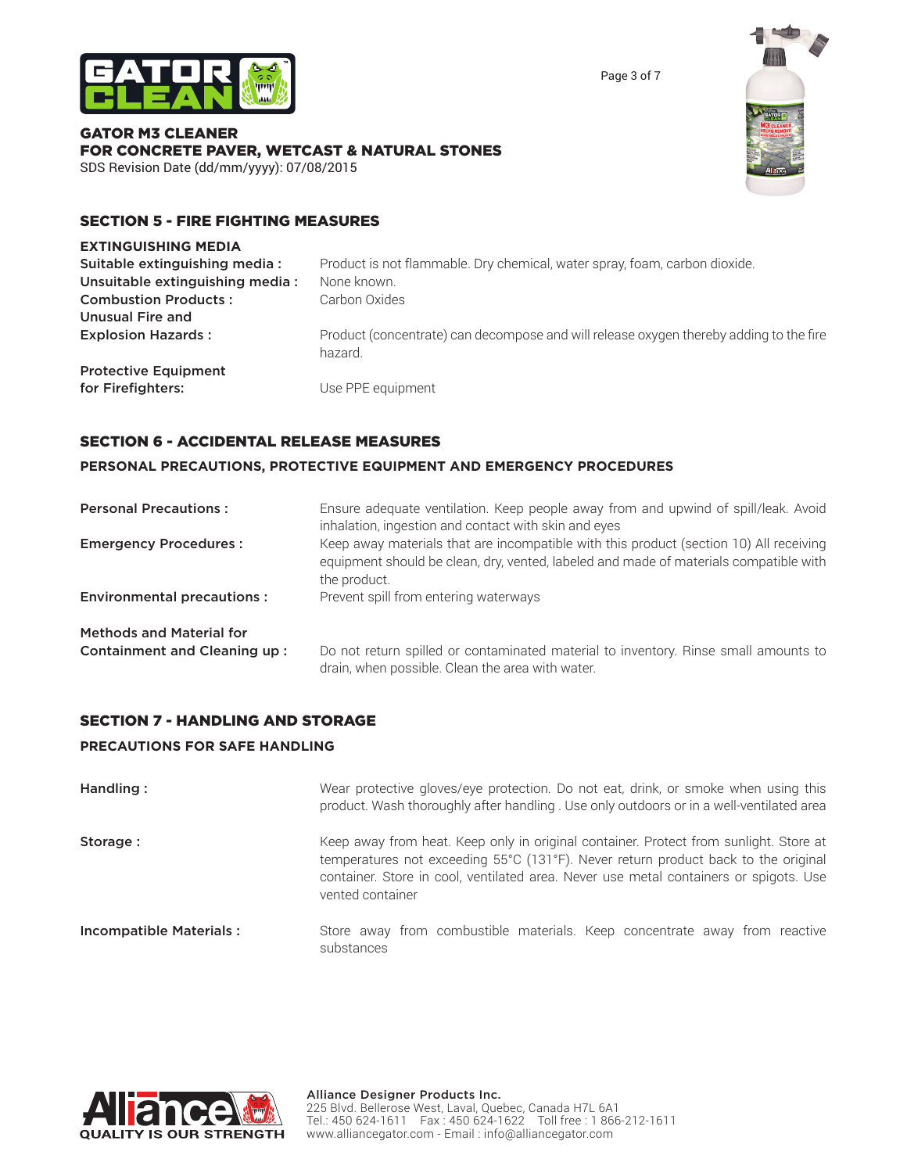

Page 3 of 7

#### GATOR M3 CLEANER FOR CONCRETE PAVER, WETCAST & NATURAL STONES SDS Revision Date (dd/mm/yyyy): 07/08/2015



# SECTION 5 - FIRE FIGHTING MEASURES

#### **EXTINGUISHING MEDIA**

| Suitable extinguishing media:   | Product is not flammable. Dry chemical, water spray, foam, carbon dioxide.                        |
|---------------------------------|---------------------------------------------------------------------------------------------------|
| Unsuitable extinguishing media: | None known.                                                                                       |
| <b>Combustion Products:</b>     | Carbon Oxides                                                                                     |
| Unusual Fire and                |                                                                                                   |
| <b>Explosion Hazards:</b>       | Product (concentrate) can decompose and will release oxygen thereby adding to the fire<br>hazard. |
| <b>Protective Equipment</b>     |                                                                                                   |
| for Firefighters:               | Use PPE equipment                                                                                 |

## SECTION 6 - ACCIDENTAL RELEASE MEASURES

#### **PERSONAL PRECAUTIONS, PROTECTIVE EQUIPMENT AND EMERGENCY PROCEDURES**

| <b>Personal Precautions:</b>      | Ensure adequate ventilation. Keep people away from and upwind of spill/leak. Avoid<br>inhalation, ingestion and contact with skin and eyes                                                      |
|-----------------------------------|-------------------------------------------------------------------------------------------------------------------------------------------------------------------------------------------------|
| <b>Emergency Procedures:</b>      | Keep away materials that are incompatible with this product (section 10) All receiving<br>equipment should be clean, dry, vented, labeled and made of materials compatible with<br>the product. |
| <b>Environmental precautions:</b> | Prevent spill from entering waterways                                                                                                                                                           |
| <b>Methods and Material for</b>   |                                                                                                                                                                                                 |
| Containment and Cleaning up:      | Do not return spilled or contaminated material to inventory. Rinse small amounts to<br>drain, when possible. Clean the area with water.                                                         |

## SECTION 7 - HANDLING AND STORAGE

#### **PRECAUTIONS FOR SAFE HANDLING**

| Handling:                      | Wear protective gloves/eye protection. Do not eat, drink, or smoke when using this<br>product. Wash thoroughly after handling . Use only outdoors or in a well-ventilated area                                                                                                           |  |
|--------------------------------|------------------------------------------------------------------------------------------------------------------------------------------------------------------------------------------------------------------------------------------------------------------------------------------|--|
| Storage:                       | Keep away from heat. Keep only in original container. Protect from sunlight. Store at<br>temperatures not exceeding 55°C (131°F). Never return product back to the original<br>container. Store in cool, ventilated area. Never use metal containers or spigots. Use<br>vented container |  |
| <b>Incompatible Materials:</b> | Store away from combustible materials. Keep concentrate away from reactive<br>substances                                                                                                                                                                                                 |  |

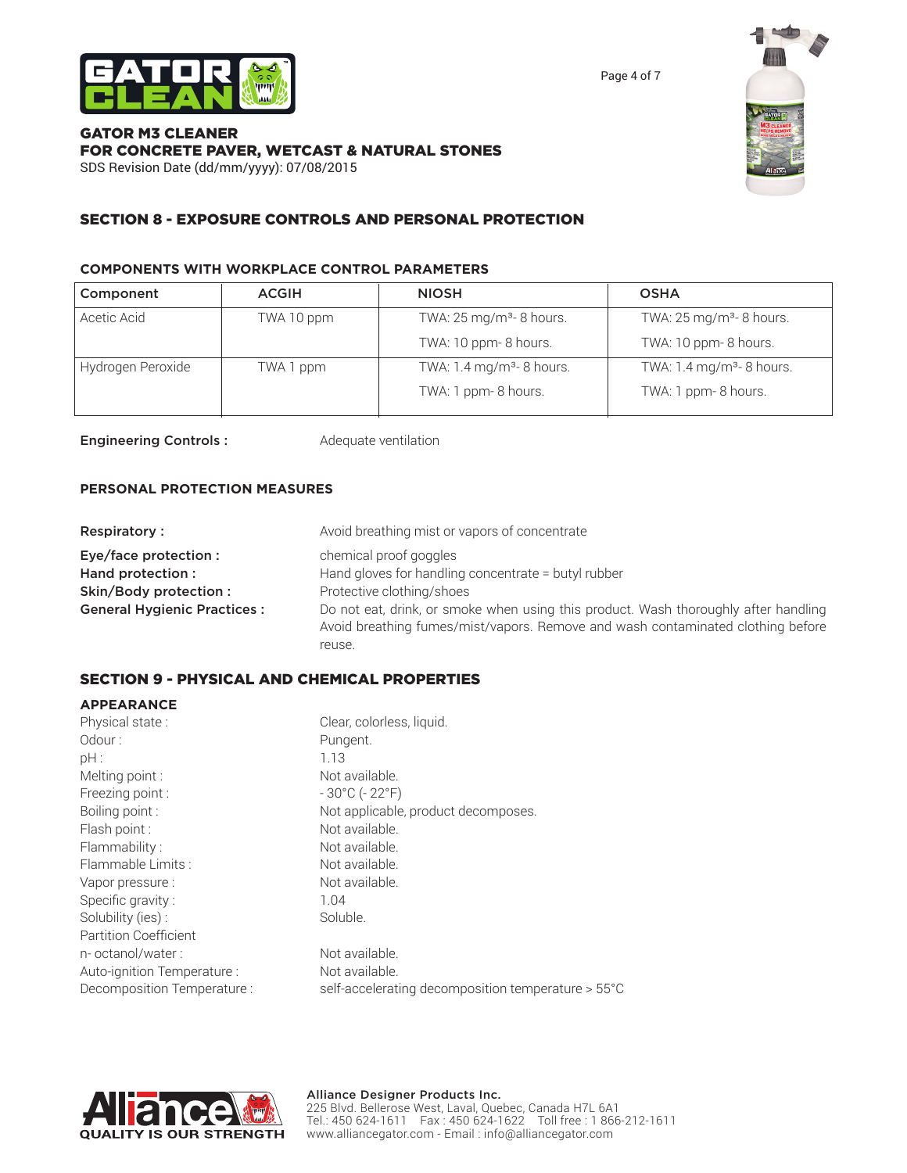

Page 4 of 7

#### GATOR M3 CLEANER FOR CONCRETE PAVER, WETCAST & NATURAL STONES SDS Revision Date (dd/mm/yyyy): 07/08/2015



# SECTION 8 - EXPOSURE CONTROLS AND PERSONAL PROTECTION

#### **COMPONENTS WITH WORKPLACE CONTROL PARAMETERS**

| Component         | <b>ACGIH</b> | <b>NIOSH</b>                         | <b>OSHA</b>                          |
|-------------------|--------------|--------------------------------------|--------------------------------------|
| Acetic Acid       | TWA 10 ppm   | TWA: $25 \text{ mg/m}^3$ - 8 hours.  | TWA: 25 mg/m <sup>3</sup> - 8 hours. |
|                   |              | TWA: 10 ppm-8 hours.                 | TWA: 10 ppm-8 hours.                 |
| Hydrogen Peroxide | TWA 1 ppm    | TWA: $1.4 \text{ mg/m}^3$ - 8 hours. | TWA: $1.4 \text{ mg/m}^3$ - 8 hours. |
|                   |              | TWA: 1 ppm-8 hours.                  | TWA: 1 ppm-8 hours.                  |

Engineering Controls : Adequate ventilation

#### **PERSONAL PROTECTION MEASURES**

| <b>Respiratory:</b>                | Avoid breathing mist or vapors of concentrate                                                                                                                          |
|------------------------------------|------------------------------------------------------------------------------------------------------------------------------------------------------------------------|
| Eye/face protection :              | chemical proof goggles                                                                                                                                                 |
| Hand protection :                  | Hand gloves for handling concentrate = butyl rubber                                                                                                                    |
| Skin/Body protection :             | Protective clothing/shoes                                                                                                                                              |
| <b>General Hygienic Practices:</b> | Do not eat, drink, or smoke when using this product. Wash thoroughly after handling<br>Avoid breathing fumes/mist/vapors. Remove and wash contaminated clothing before |
|                                    | reuse.                                                                                                                                                                 |

## SECTION 9 - PHYSICAL AND CHEMICAL PROPERTIES

#### **APPEARANCE**

| Physical state:              | Clear, colorless, liquid.                          |
|------------------------------|----------------------------------------------------|
| Odour:                       | Pungent.                                           |
| pH:                          | 1.13                                               |
| Melting point:               | Not available.                                     |
| Freezing point:              | $-30^{\circ}$ C ( $-22^{\circ}$ F)                 |
| Boiling point:               | Not applicable, product decomposes.                |
| Flash point:                 | Not available.                                     |
| Flammability:                | Not available.                                     |
| Flammable Limits:            | Not available.                                     |
| Vapor pressure :             | Not available.                                     |
| Specific gravity:            | 1.04                                               |
| Solubility (ies):            | Soluble.                                           |
| <b>Partition Coefficient</b> |                                                    |
| n- octanol/water:            | Not available.                                     |
| Auto-ignition Temperature :  | Not available.                                     |
| Decomposition Temperature :  | self-accelerating decomposition temperature > 55°C |
|                              |                                                    |

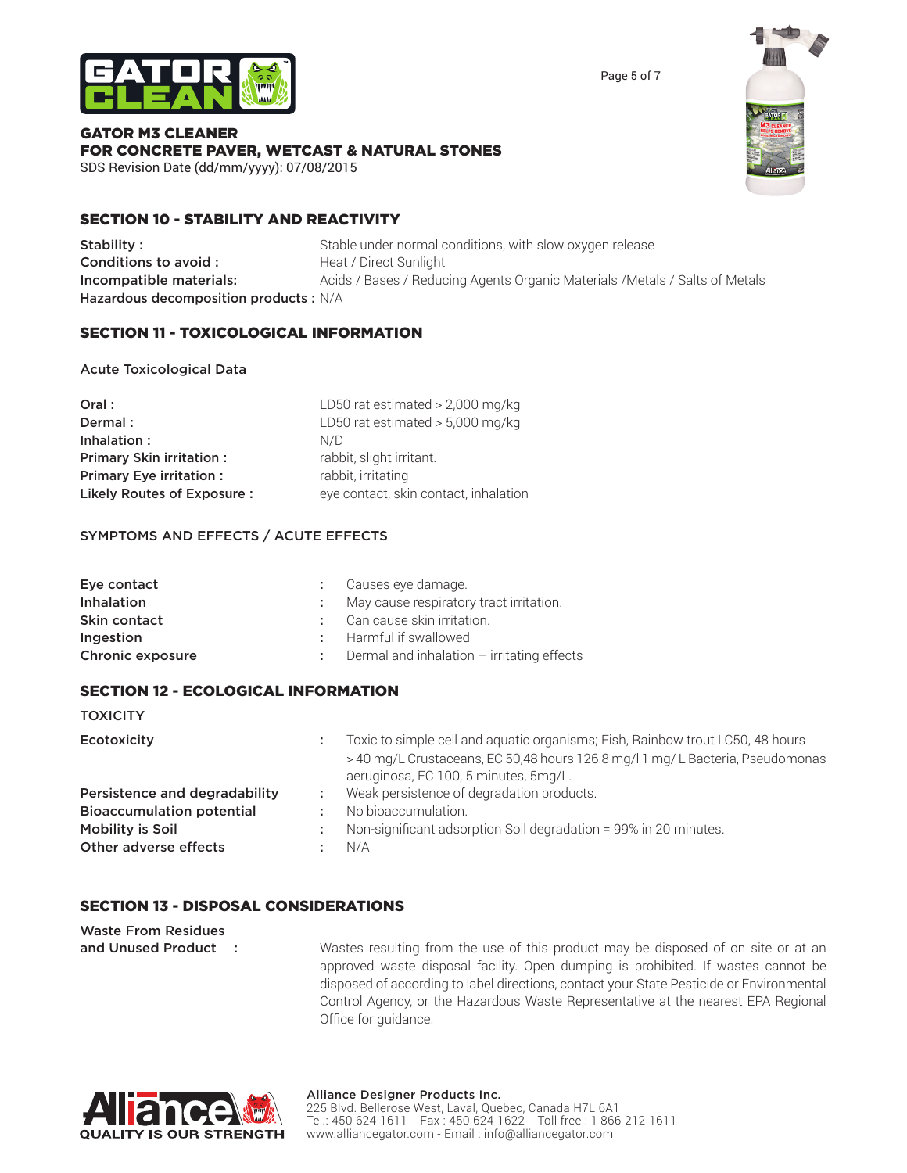



#### GATOR M3 CLEANER FOR CONCRETE PAVER, WETCAST & NATURAL STONES SDS Revision Date (dd/mm/yyyy): 07/08/2015

SECTION 10 - STABILITY AND REACTIVITY

Stability : Stable under normal conditions, with slow oxygen release **Conditions to avoid :** Heat / Direct Sunlight Incompatible materials: Acids / Bases / Reducing Agents Organic Materials / Metals / Salts of Metals Hazardous decomposition products : N/A

# SECTION 11 - TOXICOLOGICAL INFORMATION

# Acute Toxicological Data

| Oral:                           | LD50 rat estimated $> 2,000$ mg/kg    |
|---------------------------------|---------------------------------------|
| Dermal:                         | LD50 rat estimated $> 5,000$ mg/kg    |
| Inhalation:                     | N/D                                   |
| <b>Primary Skin irritation:</b> | rabbit, slight irritant.              |
| <b>Primary Eye irritation:</b>  | rabbit, irritating                    |
| Likely Routes of Exposure:      | eye contact, skin contact, inhalation |

## SYMPTOMS AND EFFECTS / ACUTE EFFECTS

| Eye contact       | Causes eye damage.                           |
|-------------------|----------------------------------------------|
| <b>Inhalation</b> | May cause respiratory tract irritation.      |
| Skin contact      | Can cause skin irritation.                   |
| Ingestion         | Harmful if swallowed                         |
| Chronic exposure  | Dermal and inhalation $-$ irritating effects |

# SECTION 12 - ECOLOGICAL INFORMATION

**TOXICITY** 

| Ecotoxicity                      |    | Toxic to simple cell and aquatic organisms; Fish, Rainbow trout LC50, 48 hours<br>>40 mg/L Crustaceans, EC 50,48 hours 126.8 mg/l 1 mg/L Bacteria, Pseudomonas<br>aeruginosa, EC 100, 5 minutes, 5mg/L. |
|----------------------------------|----|---------------------------------------------------------------------------------------------------------------------------------------------------------------------------------------------------------|
| Persistence and degradability    | ÷. | Weak persistence of degradation products.                                                                                                                                                               |
| <b>Bioaccumulation potential</b> |    | No bioaccumulation.                                                                                                                                                                                     |
| Mobility is Soil                 |    | Non-significant adsorption Soil degradation = 99% in 20 minutes.                                                                                                                                        |
| Other adverse effects            |    | N/A                                                                                                                                                                                                     |

# SECTION 13 - DISPOSAL CONSIDERATIONS

| <b>Waste From Residues</b> |                                                                                          |
|----------------------------|------------------------------------------------------------------------------------------|
| and Unused Product :       | Wastes resulting from the use of this product may be disposed of on site or at an        |
|                            | approved waste disposal facility. Open dumping is prohibited. If wastes cannot be        |
|                            | disposed of according to label directions, contact your State Pesticide or Environmental |
|                            | Control Agency, or the Hazardous Waste Representative at the nearest EPA Regional        |

Office for guidance.

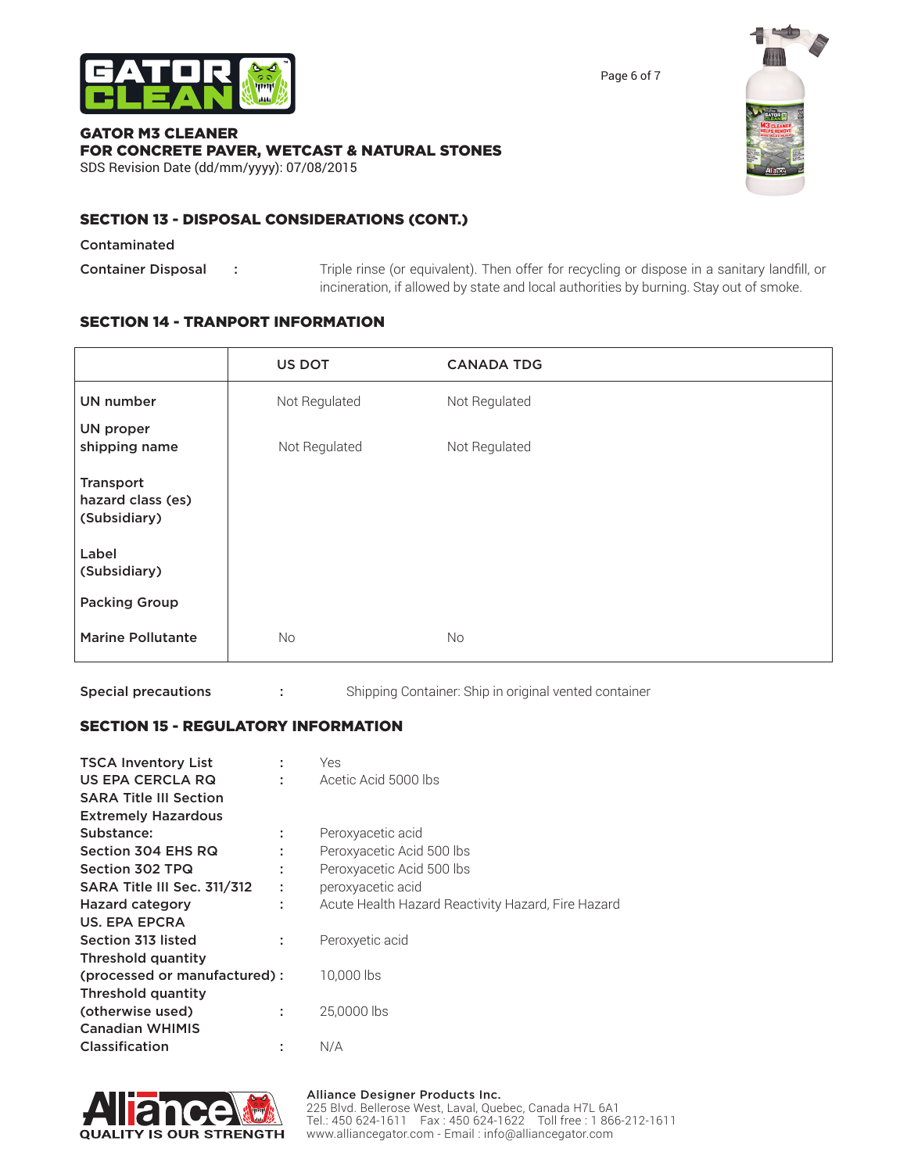

Page 6 of 7

#### GATOR M3 CLEANER FOR CONCRETE PAVER, WETCAST & NATURAL STONES SDS Revision Date (dd/mm/yyyy): 07/08/2015



# SECTION 13 - DISPOSAL CONSIDERATIONS (CONT.)

Contaminated

Container Disposal : Triple rinse (or equivalent). Then offer for recycling or dispose in a sanitary landfill, or incineration, if allowed by state and local authorities by burning. Stay out of smoke.

# SECTION 14 - TRANPORT INFORMATION

|                                                | US DOT        | <b>CANADA TDG</b> |  |
|------------------------------------------------|---------------|-------------------|--|
| <b>UN number</b>                               | Not Regulated | Not Regulated     |  |
| <b>UN proper</b><br>shipping name              | Not Regulated | Not Regulated     |  |
| Transport<br>hazard class (es)<br>(Subsidiary) |               |                   |  |
| Label<br>(Subsidiary)                          |               |                   |  |
| <b>Packing Group</b>                           |               |                   |  |
| <b>Marine Pollutante</b>                       | <b>No</b>     | <b>No</b>         |  |

Special precautions : Shipping Container: Ship in original vented container

# SECTION 15 - REGULATORY INFORMATION

| <b>TSCA Inventory List</b><br>US EPA CERCLA RQ | ÷<br>t | Yes<br>Acetic Acid 5000 lbs                        |
|------------------------------------------------|--------|----------------------------------------------------|
| <b>SARA Title III Section</b>                  |        |                                                    |
| <b>Extremely Hazardous</b>                     |        |                                                    |
| Substance:                                     | ÷      | Peroxyacetic acid                                  |
| Section 304 EHS RQ                             |        | Peroxyacetic Acid 500 lbs                          |
| Section 302 TPQ                                | ÷      | Peroxyacetic Acid 500 lbs                          |
| SARA Title III Sec. 311/312                    | ÷      | peroxyacetic acid                                  |
| <b>Hazard category</b>                         | ÷      | Acute Health Hazard Reactivity Hazard, Fire Hazard |
| US. EPA EPCRA                                  |        |                                                    |
| Section 313 listed                             | ÷      | Peroxyetic acid                                    |
| Threshold quantity                             |        |                                                    |
| (processed or manufactured):                   |        | 10,000 lbs                                         |
| Threshold quantity                             |        |                                                    |
| (otherwise used)                               | ÷      | 25,0000 lbs                                        |
| <b>Canadian WHIMIS</b>                         |        |                                                    |
| Classification                                 | t      | N/A                                                |



#### Alliance Designer Products Inc.

225 Blvd. Bellerose West, Laval, Quebec, Canada H7L 6A1 Tel.: 450 624-1611 Fax : 450 624-1622 Toll free : 1 866-212-1611 www.alliancegator.com - Email : info@alliancegator.com